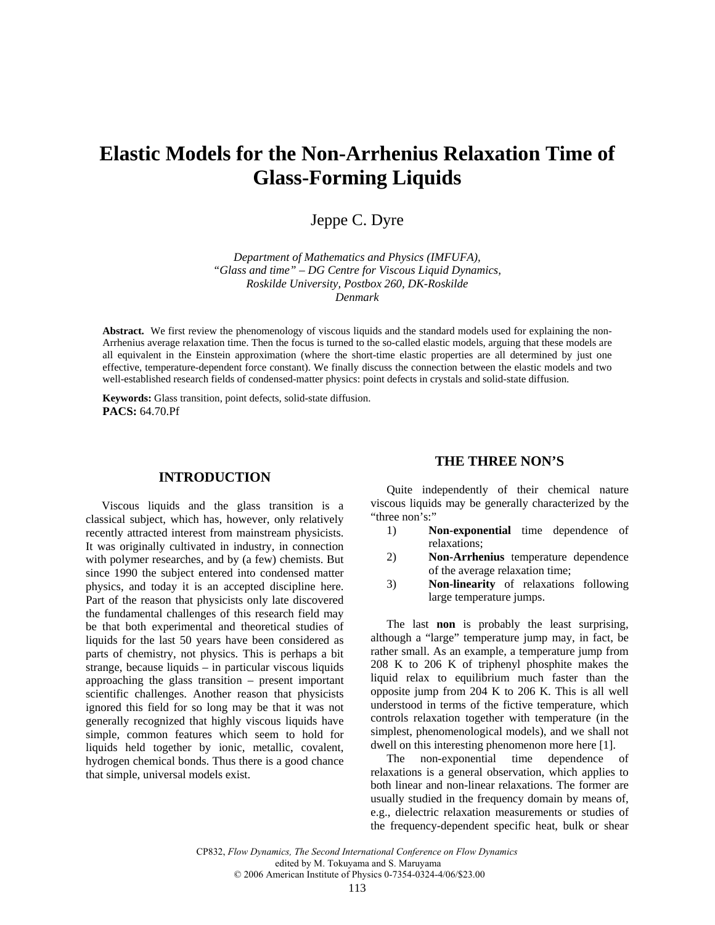# **Elastic Models for the Non-Arrhenius Relaxation Time of Glass-Forming Liquids**

Jeppe C. Dyre

*Department of Mathematics and Physics (IMFUFA), "Glass and time" – DG Centre for Viscous Liquid Dynamics, Roskilde University, Postbox 260, DK-Roskilde Denmark* 

**Abstract.** We first review the phenomenology of viscous liquids and the standard models used for explaining the non-Arrhenius average relaxation time. Then the focus is turned to the so-called elastic models, arguing that these models are all equivalent in the Einstein approximation (where the short-time elastic properties are all determined by just one effective, temperature-dependent force constant). We finally discuss the connection between the elastic models and two well-established research fields of condensed-matter physics: point defects in crystals and solid-state diffusion.

**Keywords:** Glass transition, point defects, solid-state diffusion. **PACS:** 64.70.Pf

#### **INTRODUCTION**

Viscous liquids and the glass transition is a classical subject, which has, however, only relatively recently attracted interest from mainstream physicists. It was originally cultivated in industry, in connection with polymer researches, and by (a few) chemists. But since 1990 the subject entered into condensed matter physics, and today it is an accepted discipline here. Part of the reason that physicists only late discovered the fundamental challenges of this research field may be that both experimental and theoretical studies of liquids for the last 50 years have been considered as parts of chemistry, not physics. This is perhaps a bit strange, because liquids – in particular viscous liquids approaching the glass transition – present important scientific challenges. Another reason that physicists ignored this field for so long may be that it was not generally recognized that highly viscous liquids have simple, common features which seem to hold for liquids held together by ionic, metallic, covalent, hydrogen chemical bonds. Thus there is a good chance that simple, universal models exist.

## **THE THREE NON'S**

Quite independently of their chemical nature viscous liquids may be generally characterized by the "three non's:"

- 1) **Non-exponential** time dependence of relaxations;
- 2) **Non-Arrhenius** temperature dependence of the average relaxation time;
- 3) **Non-linearity** of relaxations following large temperature jumps.

The last **non** is probably the least surprising, although a "large" temperature jump may, in fact, be rather small. As an example, a temperature jump from 208 K to 206 K of triphenyl phosphite makes the liquid relax to equilibrium much faster than the opposite jump from 204 K to 206 K. This is all well understood in terms of the fictive temperature, which controls relaxation together with temperature (in the simplest, phenomenological models), and we shall not dwell on this interesting phenomenon more here [1].

The non-exponential time dependence of relaxations is a general observation, which applies to both linear and non-linear relaxations. The former are usually studied in the frequency domain by means of, e.g., dielectric relaxation measurements or studies of the frequency-dependent specific heat, bulk or shear

> CP832, *Flow Dynamics, The Second International Conference on Flow Dynamics* edited by M. Tokuyama and S. Maruyama © 2006 American Institute of Physics 0-7354-0324-4/06/\$23.00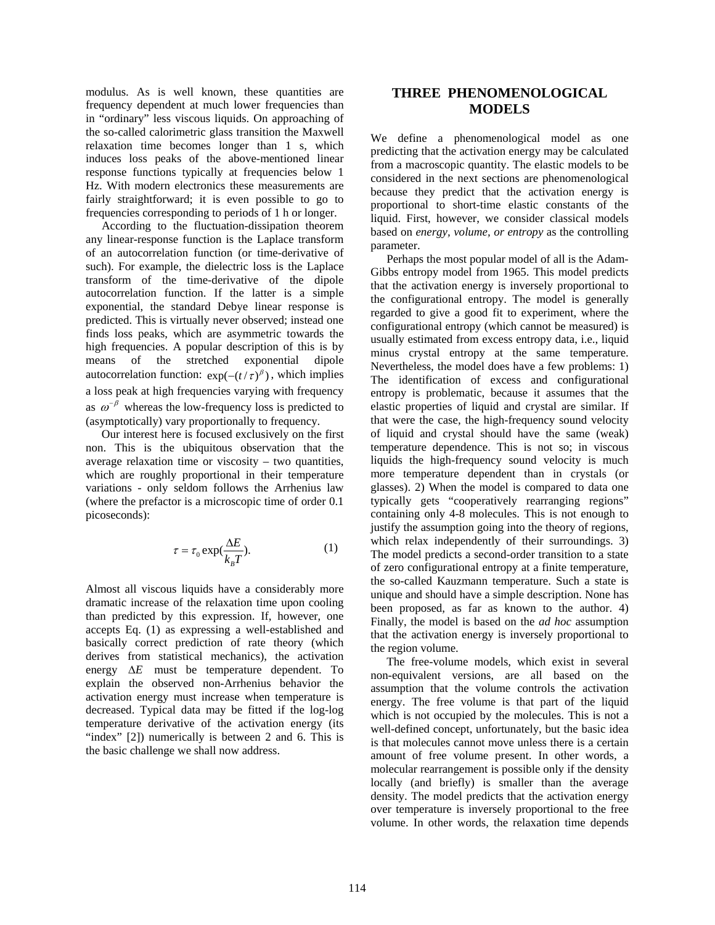modulus. As is well known, these quantities are frequency dependent at much lower frequencies than in "ordinary" less viscous liquids. On approaching of the so-called calorimetric glass transition the Maxwell relaxation time becomes longer than 1 s, which induces loss peaks of the above-mentioned linear response functions typically at frequencies below 1 Hz. With modern electronics these measurements are fairly straightforward; it is even possible to go to frequencies corresponding to periods of 1 h or longer.

According to the fluctuation-dissipation theorem any linear-response function is the Laplace transform of an autocorrelation function (or time-derivative of such). For example, the dielectric loss is the Laplace transform of the time-derivative of the dipole autocorrelation function. If the latter is a simple exponential, the standard Debye linear response is predicted. This is virtually never observed; instead one finds loss peaks, which are asymmetric towards the high frequencies. A popular description of this is by means of the stretched exponential dipole autocorrelation function:  $exp(-(t/\tau)^{\beta})$ , which implies a loss peak at high frequencies varying with frequency as  $\omega^{-\beta}$  whereas the low-frequency loss is predicted to (asymptotically) vary proportionally to frequency.

Our interest here is focused exclusively on the first non. This is the ubiquitous observation that the average relaxation time or viscosity – two quantities, which are roughly proportional in their temperature variations - only seldom follows the Arrhenius law (where the prefactor is a microscopic time of order 0.1 picoseconds):

$$
\tau = \tau_0 \exp(\frac{\Delta E}{k_B T}).\tag{1}
$$

Almost all viscous liquids have a considerably more dramatic increase of the relaxation time upon cooling than predicted by this expression. If, however, one accepts Eq. (1) as expressing a well-established and basically correct prediction of rate theory (which derives from statistical mechanics), the activation energy  $\Delta E$  must be temperature dependent. To explain the observed non-Arrhenius behavior the activation energy must increase when temperature is decreased. Typical data may be fitted if the log-log temperature derivative of the activation energy (its "index" [2]) numerically is between 2 and 6. This is the basic challenge we shall now address.

# **THREE PHENOMENOLOGICAL MODELS**

We define a phenomenological model as one predicting that the activation energy may be calculated from a macroscopic quantity. The elastic models to be considered in the next sections are phenomenological because they predict that the activation energy is proportional to short-time elastic constants of the liquid. First, however, we consider classical models based on *energy, volume, or entropy* as the controlling parameter.

Perhaps the most popular model of all is the Adam-Gibbs entropy model from 1965. This model predicts that the activation energy is inversely proportional to the configurational entropy. The model is generally regarded to give a good fit to experiment, where the configurational entropy (which cannot be measured) is usually estimated from excess entropy data, i.e., liquid minus crystal entropy at the same temperature. Nevertheless, the model does have a few problems: 1) The identification of excess and configurational entropy is problematic, because it assumes that the elastic properties of liquid and crystal are similar. If that were the case, the high-frequency sound velocity of liquid and crystal should have the same (weak) temperature dependence. This is not so; in viscous liquids the high-frequency sound velocity is much more temperature dependent than in crystals (or glasses). 2) When the model is compared to data one typically gets "cooperatively rearranging regions" containing only 4-8 molecules. This is not enough to justify the assumption going into the theory of regions, which relax independently of their surroundings. 3) The model predicts a second-order transition to a state of zero configurational entropy at a finite temperature, the so-called Kauzmann temperature. Such a state is unique and should have a simple description. None has been proposed, as far as known to the author. 4) Finally, the model is based on the *ad hoc* assumption that the activation energy is inversely proportional to the region volume.

The free-volume models, which exist in several non-equivalent versions, are all based on the assumption that the volume controls the activation energy. The free volume is that part of the liquid which is not occupied by the molecules. This is not a well-defined concept, unfortunately, but the basic idea is that molecules cannot move unless there is a certain amount of free volume present. In other words, a molecular rearrangement is possible only if the density locally (and briefly) is smaller than the average density. The model predicts that the activation energy over temperature is inversely proportional to the free volume. In other words, the relaxation time depends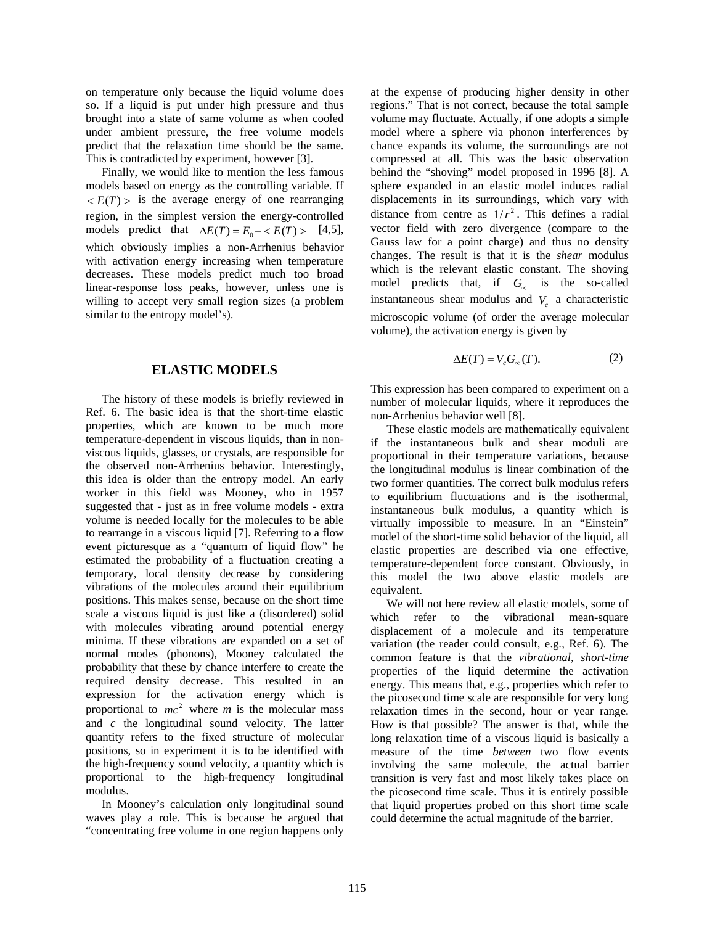on temperature only because the liquid volume does so. If a liquid is put under high pressure and thus brought into a state of same volume as when cooled under ambient pressure, the free volume models predict that the relaxation time should be the same. This is contradicted by experiment, however [3].

Finally, we would like to mention the less famous models based on energy as the controlling variable. If  $\langle E(T) \rangle$  is the average energy of one rearranging region, in the simplest version the energy-controlled models predict that  $\Delta E(T) = E_0 - \langle E(T) \rangle$  [4,5], which obviously implies a non-Arrhenius behavior with activation energy increasing when temperature decreases. These models predict much too broad linear-response loss peaks, however, unless one is willing to accept very small region sizes (a problem similar to the entropy model's).

#### **ELASTIC MODELS**

The history of these models is briefly reviewed in Ref. 6. The basic idea is that the short-time elastic properties, which are known to be much more temperature-dependent in viscous liquids, than in nonviscous liquids, glasses, or crystals, are responsible for the observed non-Arrhenius behavior. Interestingly, this idea is older than the entropy model. An early worker in this field was Mooney, who in 1957 suggested that - just as in free volume models - extra volume is needed locally for the molecules to be able to rearrange in a viscous liquid [7]. Referring to a flow event picturesque as a "quantum of liquid flow" he estimated the probability of a fluctuation creating a temporary, local density decrease by considering vibrations of the molecules around their equilibrium positions. This makes sense, because on the short time scale a viscous liquid is just like a (disordered) solid with molecules vibrating around potential energy minima. If these vibrations are expanded on a set of normal modes (phonons), Mooney calculated the probability that these by chance interfere to create the required density decrease. This resulted in an expression for the activation energy which is proportional to  $mc^2$  where *m* is the molecular mass and *c* the longitudinal sound velocity. The latter quantity refers to the fixed structure of molecular positions, so in experiment it is to be identified with the high-frequency sound velocity, a quantity which is proportional to the high-frequency longitudinal modulus.

In Mooney's calculation only longitudinal sound waves play a role. This is because he argued that "concentrating free volume in one region happens only

at the expense of producing higher density in other regions." That is not correct, because the total sample volume may fluctuate. Actually, if one adopts a simple model where a sphere via phonon interferences by chance expands its volume, the surroundings are not compressed at all. This was the basic observation behind the "shoving" model proposed in 1996 [8]. A sphere expanded in an elastic model induces radial displacements in its surroundings, which vary with distance from centre as  $1/r^2$ . This defines a radial vector field with zero divergence (compare to the Gauss law for a point charge) and thus no density changes. The result is that it is the *shear* modulus which is the relevant elastic constant. The shoving model predicts that, if  $G_{\infty}$  is the so-called instantaneous shear modulus and  $V_c$  a characteristic microscopic volume (of order the average molecular volume), the activation energy is given by

$$
\Delta E(T) = V_c G_{\infty}(T). \tag{2}
$$

This expression has been compared to experiment on a number of molecular liquids, where it reproduces the non-Arrhenius behavior well [8].

These elastic models are mathematically equivalent if the instantaneous bulk and shear moduli are proportional in their temperature variations, because the longitudinal modulus is linear combination of the two former quantities. The correct bulk modulus refers to equilibrium fluctuations and is the isothermal, instantaneous bulk modulus, a quantity which is virtually impossible to measure. In an "Einstein" model of the short-time solid behavior of the liquid, all elastic properties are described via one effective, temperature-dependent force constant. Obviously, in this model the two above elastic models are equivalent.

We will not here review all elastic models, some of which refer to the vibrational mean-square displacement of a molecule and its temperature variation (the reader could consult, e.g., Ref. 6). The common feature is that the *vibrational, short-time* properties of the liquid determine the activation energy. This means that, e.g., properties which refer to the picosecond time scale are responsible for very long relaxation times in the second, hour or year range. How is that possible? The answer is that, while the long relaxation time of a viscous liquid is basically a measure of the time *between* two flow events involving the same molecule, the actual barrier transition is very fast and most likely takes place on the picosecond time scale. Thus it is entirely possible that liquid properties probed on this short time scale could determine the actual magnitude of the barrier.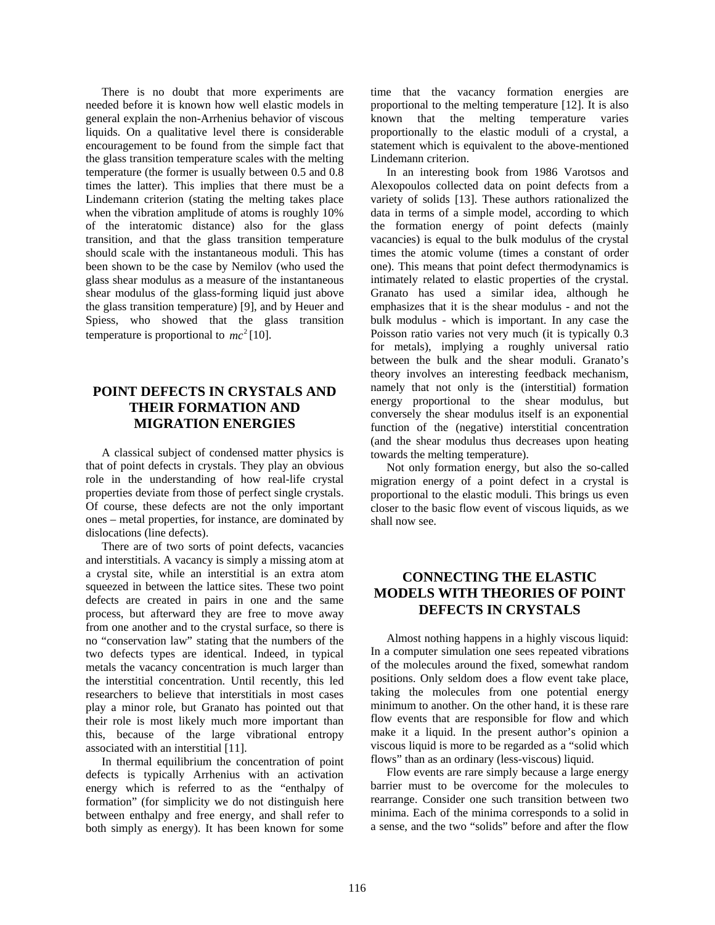There is no doubt that more experiments are needed before it is known how well elastic models in general explain the non-Arrhenius behavior of viscous liquids. On a qualitative level there is considerable encouragement to be found from the simple fact that the glass transition temperature scales with the melting temperature (the former is usually between 0.5 and 0.8 times the latter). This implies that there must be a Lindemann criterion (stating the melting takes place when the vibration amplitude of atoms is roughly 10% of the interatomic distance) also for the glass transition, and that the glass transition temperature should scale with the instantaneous moduli. This has been shown to be the case by Nemilov (who used the glass shear modulus as a measure of the instantaneous shear modulus of the glass-forming liquid just above the glass transition temperature) [9], and by Heuer and Spiess, who showed that the glass transition temperature is proportional to  $mc^2$  [10].

# **POINT DEFECTS IN CRYSTALS AND THEIR FORMATION AND MIGRATION ENERGIES**

A classical subject of condensed matter physics is that of point defects in crystals. They play an obvious role in the understanding of how real-life crystal properties deviate from those of perfect single crystals. Of course, these defects are not the only important ones – metal properties, for instance, are dominated by dislocations (line defects).

There are of two sorts of point defects, vacancies and interstitials. A vacancy is simply a missing atom at a crystal site, while an interstitial is an extra atom squeezed in between the lattice sites. These two point defects are created in pairs in one and the same process, but afterward they are free to move away from one another and to the crystal surface, so there is no "conservation law" stating that the numbers of the two defects types are identical. Indeed, in typical metals the vacancy concentration is much larger than the interstitial concentration. Until recently, this led researchers to believe that interstitials in most cases play a minor role, but Granato has pointed out that their role is most likely much more important than this, because of the large vibrational entropy associated with an interstitial [11].

In thermal equilibrium the concentration of point defects is typically Arrhenius with an activation energy which is referred to as the "enthalpy of formation" (for simplicity we do not distinguish here between enthalpy and free energy, and shall refer to both simply as energy). It has been known for some

time that the vacancy formation energies are proportional to the melting temperature [12]. It is also known that the melting temperature varies proportionally to the elastic moduli of a crystal, a statement which is equivalent to the above-mentioned Lindemann criterion.

In an interesting book from 1986 Varotsos and Alexopoulos collected data on point defects from a variety of solids [13]. These authors rationalized the data in terms of a simple model, according to which the formation energy of point defects (mainly vacancies) is equal to the bulk modulus of the crystal times the atomic volume (times a constant of order one). This means that point defect thermodynamics is intimately related to elastic properties of the crystal. Granato has used a similar idea, although he emphasizes that it is the shear modulus - and not the bulk modulus - which is important. In any case the Poisson ratio varies not very much (it is typically 0.3 for metals), implying a roughly universal ratio between the bulk and the shear moduli. Granato's theory involves an interesting feedback mechanism, namely that not only is the (interstitial) formation energy proportional to the shear modulus, but conversely the shear modulus itself is an exponential function of the (negative) interstitial concentration (and the shear modulus thus decreases upon heating towards the melting temperature).

Not only formation energy, but also the so-called migration energy of a point defect in a crystal is proportional to the elastic moduli. This brings us even closer to the basic flow event of viscous liquids, as we shall now see.

# **CONNECTING THE ELASTIC MODELS WITH THEORIES OF POINT DEFECTS IN CRYSTALS**

Almost nothing happens in a highly viscous liquid: In a computer simulation one sees repeated vibrations of the molecules around the fixed, somewhat random positions. Only seldom does a flow event take place, taking the molecules from one potential energy minimum to another. On the other hand, it is these rare flow events that are responsible for flow and which make it a liquid. In the present author's opinion a viscous liquid is more to be regarded as a "solid which flows" than as an ordinary (less-viscous) liquid.

Flow events are rare simply because a large energy barrier must to be overcome for the molecules to rearrange. Consider one such transition between two minima. Each of the minima corresponds to a solid in a sense, and the two "solids" before and after the flow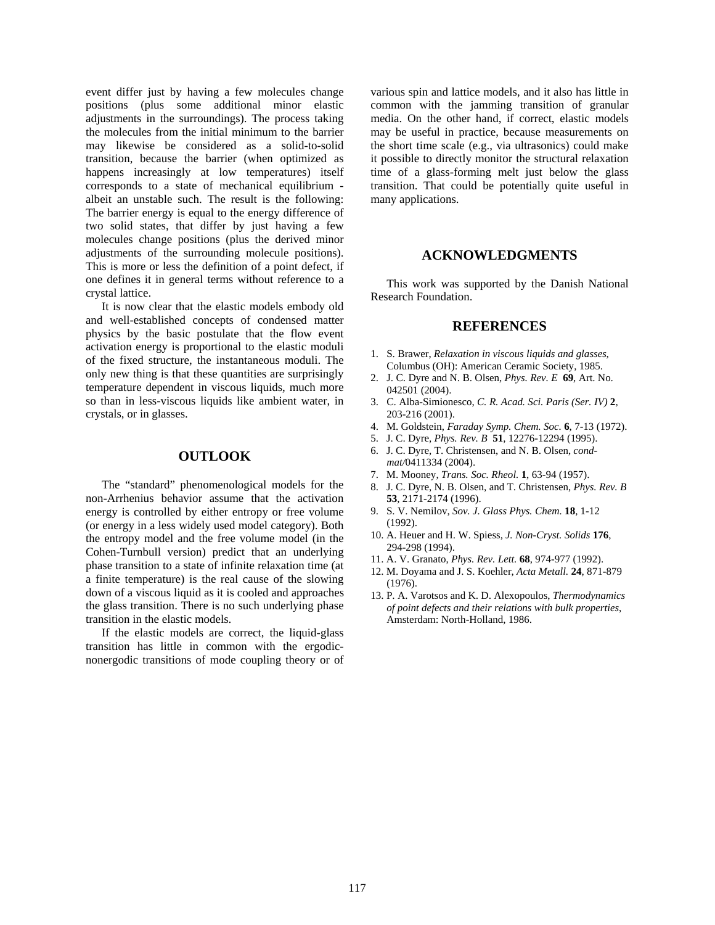event differ just by having a few molecules change positions (plus some additional minor elastic adjustments in the surroundings). The process taking the molecules from the initial minimum to the barrier may likewise be considered as a solid-to-solid transition, because the barrier (when optimized as happens increasingly at low temperatures) itself corresponds to a state of mechanical equilibrium albeit an unstable such. The result is the following: The barrier energy is equal to the energy difference of two solid states, that differ by just having a few molecules change positions (plus the derived minor adjustments of the surrounding molecule positions). This is more or less the definition of a point defect, if one defines it in general terms without reference to a crystal lattice.

It is now clear that the elastic models embody old and well-established concepts of condensed matter physics by the basic postulate that the flow event activation energy is proportional to the elastic moduli of the fixed structure, the instantaneous moduli. The only new thing is that these quantities are surprisingly temperature dependent in viscous liquids, much more so than in less-viscous liquids like ambient water, in crystals, or in glasses.

### **OUTLOOK**

The "standard" phenomenological models for the non-Arrhenius behavior assume that the activation energy is controlled by either entropy or free volume (or energy in a less widely used model category). Both the entropy model and the free volume model (in the Cohen-Turnbull version) predict that an underlying phase transition to a state of infinite relaxation time (at a finite temperature) is the real cause of the slowing down of a viscous liquid as it is cooled and approaches the glass transition. There is no such underlying phase transition in the elastic models.

If the elastic models are correct, the liquid-glass transition has little in common with the ergodicnonergodic transitions of mode coupling theory or of

various spin and lattice models, and it also has little in common with the jamming transition of granular media. On the other hand, if correct, elastic models may be useful in practice, because measurements on the short time scale (e.g., via ultrasonics) could make it possible to directly monitor the structural relaxation time of a glass-forming melt just below the glass transition. That could be potentially quite useful in many applications.

#### **ACKNOWLEDGMENTS**

This work was supported by the Danish National Research Foundation.

### **REFERENCES**

- 1. S. Brawer, *Relaxation in viscous liquids and glasses*, Columbus (OH): American Ceramic Society, 1985.
- 2. J. C. Dyre and N. B. Olsen, *Phys. Rev. E* **69**, Art. No. 042501 (2004).
- 3. C. Alba-Simionesco, *C. R. Acad. Sci. Paris (Ser. IV)* **2**, 203-216 (2001).
- 4. M. Goldstein, *Faraday Symp. Chem. Soc.* **6**, 7-13 (1972).
- 5. J. C. Dyre, *Phys. Rev. B* **51**, 12276-12294 (1995).
- 6. J. C. Dyre, T. Christensen, and N. B. Olsen, *condmat/*0411334 (2004).
- 7. M. Mooney, *Trans. Soc. Rheol.* **1**, 63-94 (1957).
- 8. J. C. Dyre, N. B. Olsen, and T. Christensen, *Phys. Rev. B* **53**, 2171-2174 (1996).
- 9. S. V. Nemilov, *Sov. J. Glass Phys. Chem.* **18**, 1-12 (1992).
- 10. A. Heuer and H. W. Spiess, *J. Non-Cryst. Solids* **176**, 294-298 (1994).
- 11. A. V. Granato, *Phys. Rev. Lett.* **68**, 974-977 (1992).
- 12. M. Doyama and J. S. Koehler, *Acta Metall.* **24**, 871-879 (1976).
- 13. P. A. Varotsos and K. D. Alexopoulos, *Thermodynamics of point defects and their relations with bulk properties*, Amsterdam: North-Holland, 1986.